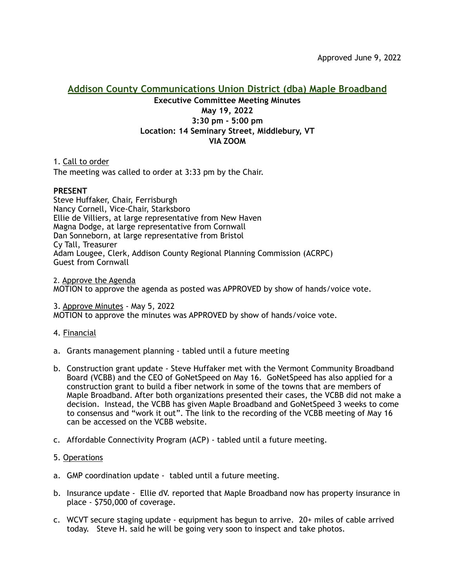# **Addison County Communications Union District (dba) Maple Broadband Executive Committee Meeting Minutes May 19, 2022 3:30 pm - 5:00 pm Location: 14 Seminary Street, Middlebury, VT VIA ZOOM**

1. Call to order The meeting was called to order at 3:33 pm by the Chair.

## **PRESENT**

Steve Huffaker, Chair, Ferrisburgh Nancy Cornell, Vice-Chair, Starksboro Ellie de Villiers, at large representative from New Haven Magna Dodge, at large representative from Cornwall Dan Sonneborn, at large representative from Bristol Cy Tall, Treasurer Adam Lougee, Clerk, Addison County Regional Planning Commission (ACRPC) Guest from Cornwall

2. Approve the Agenda MOTION to approve the agenda as posted was APPROVED by show of hands/voice vote.

3. Approve Minutes - May 5, 2022 MOTION to approve the minutes was APPROVED by show of hands/voice vote.

## 4. Financial

- a. Grants management planning tabled until a future meeting
- b. Construction grant update Steve Huffaker met with the Vermont Community Broadband Board (VCBB) and the CEO of GoNetSpeed on May 16. GoNetSpeed has also applied for a construction grant to build a fiber network in some of the towns that are members of Maple Broadband. After both organizations presented their cases, the VCBB did not make a decision. Instead, the VCBB has given Maple Broadband and GoNetSpeed 3 weeks to come to consensus and "work it out". The link to the recording of the VCBB meeting of May 16 can be accessed on the VCBB website.
- c. Affordable Connectivity Program (ACP) tabled until a future meeting.

## 5. Operations

- a. GMP coordination update tabled until a future meeting.
- b. Insurance update Ellie dV. reported that Maple Broadband now has property insurance in place - \$750,000 of coverage.
- c. WCVT secure staging update equipment has begun to arrive. 20+ miles of cable arrived today. Steve H. said he will be going very soon to inspect and take photos.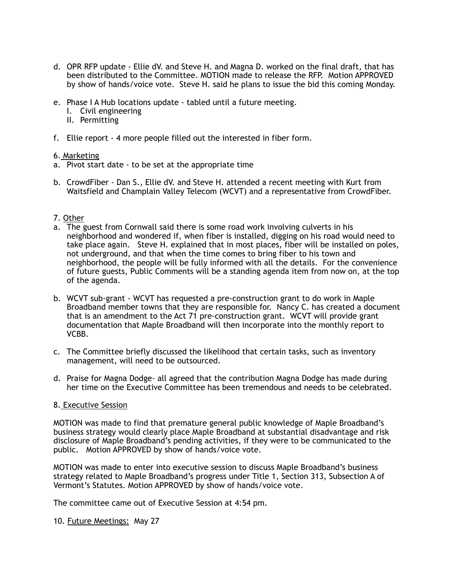- d. OPR RFP update Ellie dV. and Steve H. and Magna D. worked on the final draft, that has been distributed to the Committee. MOTION made to release the RFP. Motion APPROVED by show of hands/voice vote. Steve H. said he plans to issue the bid this coming Monday.
- e. Phase I A Hub locations update tabled until a future meeting.
	- I. Civil engineering
	- II. Permitting
- f. Ellie report 4 more people filled out the interested in fiber form.

#### 6. Marketing

- a. Pivot start date to be set at the appropriate time
- b. CrowdFiber Dan S., Ellie dV. and Steve H. attended a recent meeting with Kurt from Waitsfield and Champlain Valley Telecom (WCVT) and a representative from CrowdFiber.

#### 7. Other

- a. The guest from Cornwall said there is some road work involving culverts in his neighborhood and wondered if, when fiber is installed, digging on his road would need to take place again. Steve H. explained that in most places, fiber will be installed on poles, not underground, and that when the time comes to bring fiber to his town and neighborhood, the people will be fully informed with all the details. For the convenience of future guests, Public Comments will be a standing agenda item from now on, at the top of the agenda.
- b. WCVT sub-grant WCVT has requested a pre-construction grant to do work in Maple Broadband member towns that they are responsible for. Nancy C. has created a document that is an amendment to the Act 71 pre-construction grant. WCVT will provide grant documentation that Maple Broadband will then incorporate into the monthly report to VCBB.
- c. The Committee briefly discussed the likelihood that certain tasks, such as inventory management, will need to be outsourced.
- d. Praise for Magna Dodge- all agreed that the contribution Magna Dodge has made during her time on the Executive Committee has been tremendous and needs to be celebrated.

#### 8. Executive Session

MOTION was made to find that premature general public knowledge of Maple Broadband's business strategy would clearly place Maple Broadband at substantial disadvantage and risk disclosure of Maple Broadband's pending activities, if they were to be communicated to the public. Motion APPROVED by show of hands/voice vote.

MOTION was made to enter into executive session to discuss Maple Broadband's business strategy related to Maple Broadband's progress under Title 1, Section 313, Subsection A of Vermont's Statutes. Motion APPROVED by show of hands/voice vote.

The committee came out of Executive Session at 4:54 pm.

10. Future Meetings: May 27